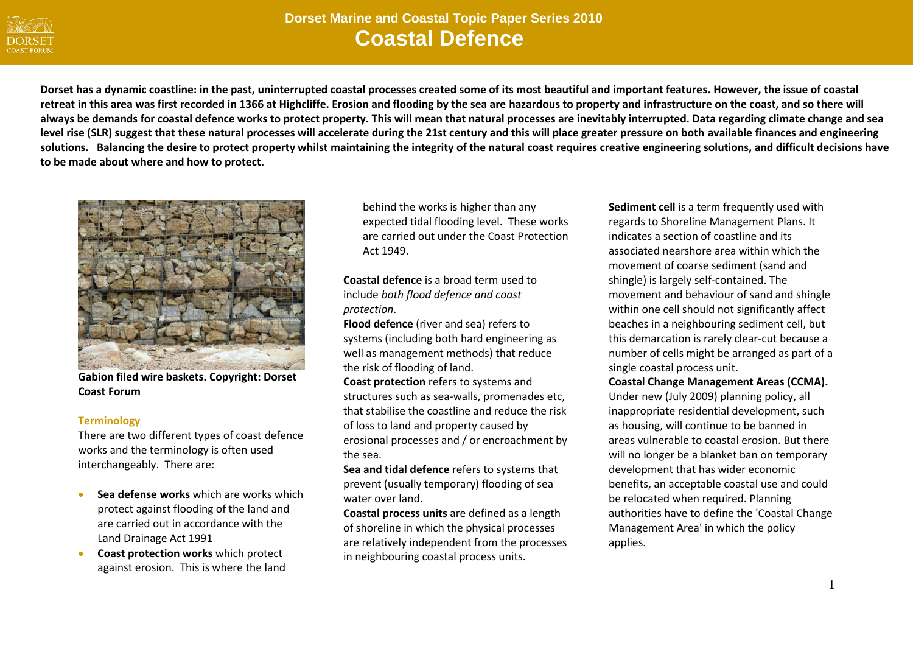

# **Dorset Marine and Coastal Topic Paper Series 2010 2010 Coastal Defence**

**Dorset has a dynamic coastline: in the past, uninterrupted coastal processes created some of its most beautiful and important features. However, the issue of coastal retreat in this area was first recorded in 1366 at Highcliffe. Erosion and flooding by the sea are hazardous to property and infrastructure on the coast, and so there will always be demands for coastal defence works to protect property. This will mean that natural processes are inevitably interrupted. Data regarding climate change and sea level rise (SLR) suggest that these natural processes will accelerate during the 21st century and this will place greater pressure on both available finances and engineering solutions. Balancing the desire to protect property whilst maintaining the integrity of the natural coast requires creative engineering solutions, and difficult decisions have to be made about where and how to protect.**



**Gabion filed wire baskets. Copyright: Dorset Coast Forum**

#### **Terminology**

There are two different types of coast defence works and the terminology is often used interchangeably. There are:

- **Sea defense works** which are works which protect against flooding of the land and are carried out in accordance with the Land Drainage Act 1991
- **Coast protection works** which protect against erosion. This is where the land

behind the works is higher than any expected tidal flooding level. These works are carried out under the Coast Protection Act 1949.

**Coastal defence** is a broad term used to include *both flood defence and coast protection*.

**Flood defence** (river and sea) refers to systems (including both hard engineering as well as management methods) that reduce the risk of flooding of land.

**Coast protection** refers to systems and structures such as sea-walls, promenades etc, that stabilise the coastline and reduce the risk of loss to land and property caused by erosional processes and / or encroachment by the sea.

**Sea and tidal defence** refers to systems that prevent (usually temporary) flooding of sea water over land.

**Coastal process units** are defined as a length of shoreline in which the physical processes are relatively independent from the processes in neighbouring coastal process units.

**Sediment cell** is a term frequently used with regards to Shoreline Management Plans. It indicates a section of coastline and its associated nearshore area within which the movement of coarse sediment (sand and shingle) is largely self-contained. The movement and behaviour of sand and shingle within one cell should not significantly affect beaches in a neighbouring sediment cell, but this demarcation is rarely clear-cut because a number of cells might be arranged as part of a single coastal process unit.

**Coastal Change Management Areas (CCMA).** Under new (July 2009) planning policy, all inappropriate residential development, such as housing, will continue to be banned in areas vulnerable to coastal erosion. But there will no longer be a blanket ban on temporary development that has wider economic benefits, an acceptable coastal use and could be relocated when required. Planning authorities have to define the 'Coastal Change Management Area' in which the policy applies.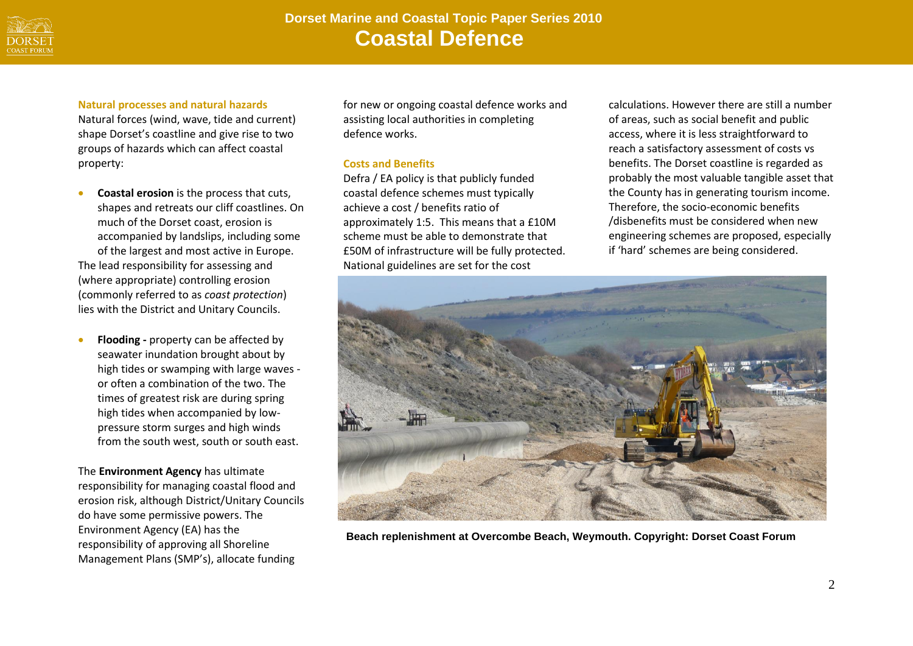

# **Dorset Marine and Coastal Topic Paper Series 2010 Coastal Defence**

#### **Natural processes and natural hazards**

Natural forces (wind, wave, tide and current) shape Dorset's coastline and give rise to two groups of hazards which can affect coastal property:

- **Coastal erosion** is the process that cuts, shapes and retreats our cliff coastlines. On much of the Dorset coast, erosion is accompanied by landslips, including some of the largest and most active in Europe. The lead responsibility for assessing and (where appropriate) controlling erosion (commonly referred to as *coast protection*) lies with the District and Unitary Councils.
- **Flooding -** property can be affected by seawater inundation brought about by high tides or swamping with large waves or often a combination of the two. The times of greatest risk are during spring high tides when accompanied by lowpressure storm surges and high winds from the south west, south or south east.

The **Environment Agency** has ultimate responsibility for managing coastal flood and erosion risk, although District/Unitary Councils do have some permissive powers. The Environment Agency (EA) has the responsibility of approving all Shoreline Management Plans (SMP's), allocate funding

for new or ongoing coastal defence works and assisting local authorities in completing defence works.

## **Costs and Benefits**

Defra / EA policy is that publicly funded coastal defence schemes must typically achieve a cost / benefits ratio of approximately 1:5. This means that a £10M scheme must be able to demonstrate that £50M of infrastructure will be fully protected. National guidelines are set for the cost

calculations. However there are still a number of areas, such as social benefit and public access, where it is less straightforward to reach a satisfactory assessment of costs vs benefits. The Dorset coastline is regarded as probably the most valuable tangible asset that the County has in generating tourism income. Therefore, the socio-economic benefits /disbenefits must be considered when new engineering schemes are proposed, especially if 'hard' schemes are being considered.



**Beach replenishment at Overcombe Beach, Weymouth. Copyright: Dorset Coast Forum**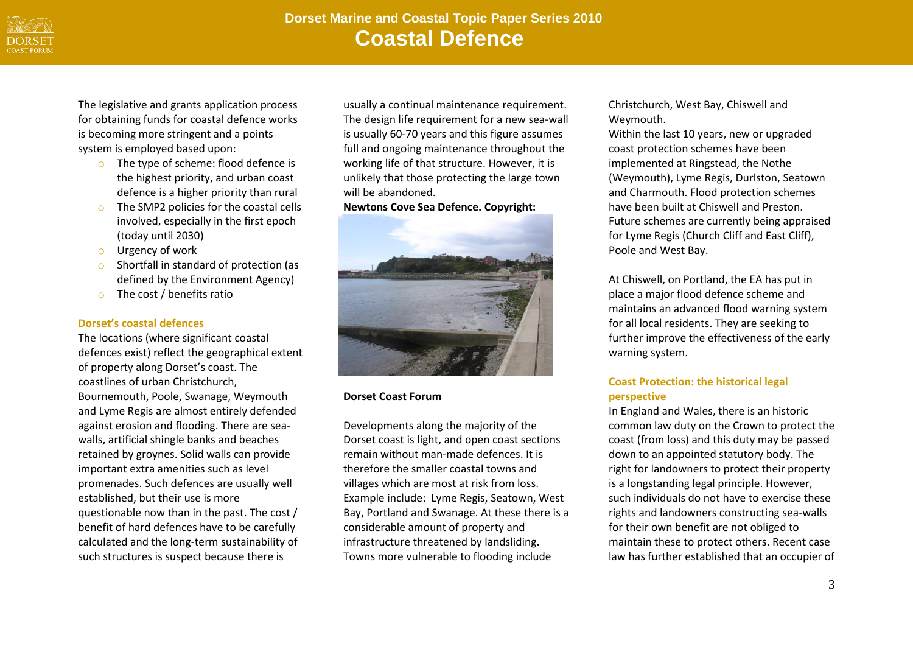

The legislative and grants application process for obtaining funds for coastal defence works is becoming more stringent and a points system is employed based upon:

- o The type of scheme: flood defence is the highest priority, and urban coast defence is a higher priority than rural
- o The SMP2 policies for the coastal cells involved, especially in the first epoch (today until 2030)
- o Urgency of work
- o Shortfall in standard of protection (as defined by the Environment Agency)
- o The cost / benefits ratio

## **Dorset's coastal defences**

The locations (where significant coastal defences exist) reflect the geographical extent of property along Dorset's coast. The coastlines of urban Christchurch, Bournemouth, Poole, Swanage, Weymouth and Lyme Regis are almost entirely defended against erosion and flooding. There are seawalls, artificial shingle banks and beaches retained by groynes. Solid walls can provide important extra amenities such as level promenades. Such defences are usually well established, but their use is more questionable now than in the past. The cost / benefit of hard defences have to be carefully calculated and the long-term sustainability of such structures is suspect because there is

usually a continual maintenance requirement. The design life requirement for a new sea-wall is usually 60-70 years and this figure assumes full and ongoing maintenance throughout the working life of that structure. However, it is unlikely that those protecting the large town will be abandoned.

## **Newtons Cove Sea Defence. Copyright:**



# **Dorset Coast Forum**

Developments along the majority of the Dorset coast is light, and open coast sections remain without man-made defences. It is therefore the smaller coastal towns and villages which are most at risk from loss. Example include: Lyme Regis, Seatown, West Bay, Portland and Swanage. At these there is a considerable amount of property and infrastructure threatened by landsliding. Towns more vulnerable to flooding include

Christchurch, West Bay, Chiswell and Weymouth.

Within the last 10 years, new or upgraded coast protection schemes have been implemented at Ringstead, the Nothe (Weymouth), Lyme Regis, Durlston, Seatown and Charmouth. Flood protection schemes have been built at Chiswell and Preston. Future schemes are currently being appraised for Lyme Regis (Church Cliff and East Cliff), Poole and West Bay.

At Chiswell, on Portland, the EA has put in place a major flood defence scheme and maintains an advanced flood warning system for all local residents. They are seeking to further improve the effectiveness of the early warning system.

# **Coast Protection: the historical legal perspective**

In England and Wales, there is an historic common law duty on the Crown to protect the coast (from loss) and this duty may be passed down to an appointed statutory body. The right for landowners to protect their property is a longstanding legal principle. However, such individuals do not have to exercise these rights and landowners constructing sea-walls for their own benefit are not obliged to maintain these to protect others. Recent case law has further established that an occupier of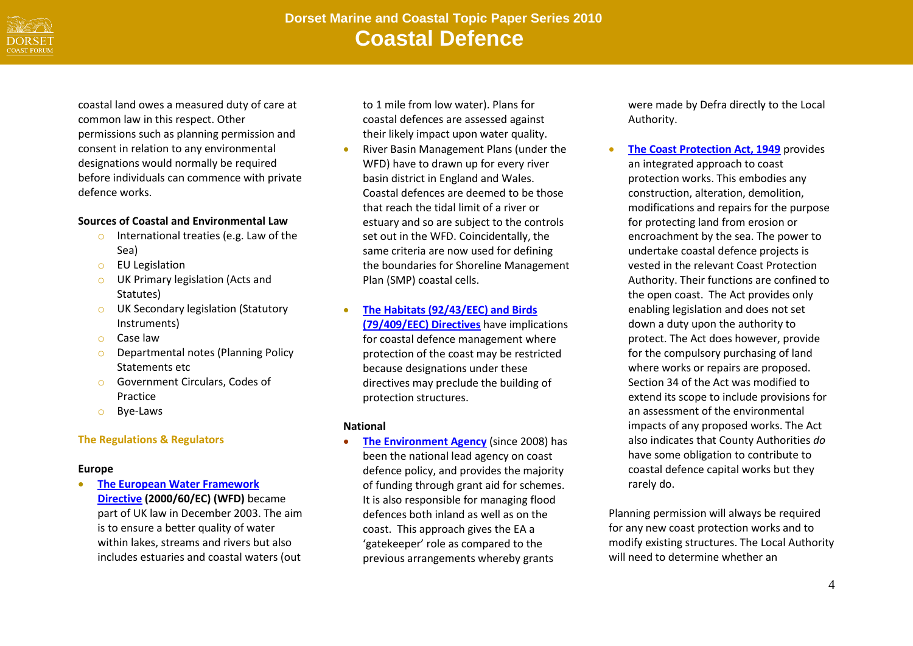

coastal land owes a measured duty of care at common law in this respect. Other permissions such as planning permission and consent in relation to any environmental designations would normally be required before individuals can commence with private defence works.

## **Sources of Coastal and Environmental Law**

- o International treaties (e.g. Law of the Sea)
- o EU Legislation
- o UK Primary legislation (Acts and Statutes)
- o UK Secondary legislation (Statutory Instruments)
- o Case law
- o Departmental notes (Planning Policy Statements etc
- o Government Circulars, Codes of Practice
- o Bye-Laws

# **The Regulations & Regulators**

#### **Europe**

 **[The European Water Framework](http://ec.europa.eu/environment/water/water-framework/index_en.html)  [Directive](http://ec.europa.eu/environment/water/water-framework/index_en.html) (2000/60/EC) (WFD)** became part of UK law in December 2003. The aim is to ensure a better quality of water within lakes, streams and rivers but also includes estuaries and coastal waters (out

to 1 mile from low water). Plans for coastal defences are assessed against their likely impact upon water quality.

- River Basin Management Plans (under the WFD) have to drawn up for every river basin district in England and Wales. Coastal defences are deemed to be those that reach the tidal limit of a river or estuary and so are subject to the controls set out in the WFD. Coincidentally, the same criteria are now used for defining the boundaries for Shoreline Management Plan (SMP) coastal cells.
- **[The Habitats \(92/43/EEC\) and Birds](http://www.coastalwiki.org/coastalwiki/Birds_Directive,_Habitats_Directive,_NATURA_2000)  [\(79/409/EEC\) Directives](http://www.coastalwiki.org/coastalwiki/Birds_Directive,_Habitats_Directive,_NATURA_2000)** have implications for coastal defence management where protection of the coast may be restricted because designations under these directives may preclude the building of protection structures.

## **National**

**• [The Environment Agency](http://www.environment-agency.gov.uk/)** (since 2008) has been the national lead agency on coast defence policy, and provides the majority of funding through grant aid for schemes. It is also responsible for managing flood defences both inland as well as on the coast. This approach gives the EA a 'gatekeeper' role as compared to the previous arrangements whereby grants

were made by Defra directly to the Local Authority.

 **[The Coast Protection Act, 1949](http://www.legislation.gov.uk/ukpga/2010/29/schedule/2/crossheading/coast-protection-act-1949)** provides an integrated approach to coast protection works. This embodies any construction, alteration, demolition, modifications and repairs for the purpose for protecting land from erosion or encroachment by the sea. The power to undertake coastal defence projects is vested in the relevant Coast Protection Authority. Their functions are confined to the open coast. The Act provides only enabling legislation and does not set down a duty upon the authority to protect. The Act does however, provide for the compulsory purchasing of land where works or repairs are proposed. Section 34 of the Act was modified to extend its scope to include provisions for an assessment of the environmental impacts of any proposed works. The Act also indicates that County Authorities *do*  have some obligation to contribute to coastal defence capital works but they rarely do.

Planning permission will always be required for any new coast protection works and to modify existing structures. The Local Authority will need to determine whether an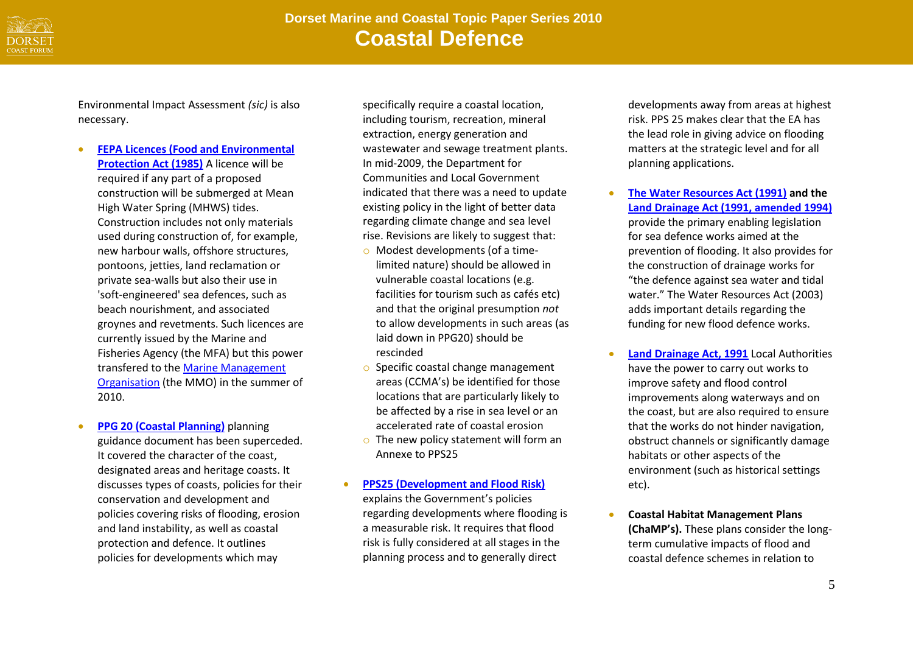

Environmental Impact Assessment *(sic)* is also necessary.

- **[FEPA Licences \(Food and Environmental](http://www.doeni.gov.uk/index/protect_the_environment/water/food_and_environmental_protection_act-2.htm)  [Protection Act \(1985\)](http://www.doeni.gov.uk/index/protect_the_environment/water/food_and_environmental_protection_act-2.htm)** A licence will be required if any part of a proposed construction will be submerged at Mean High Water Spring (MHWS) tides. Construction includes not only materials used during construction of, for example, new harbour walls, offshore structures, pontoons, jetties, land reclamation or private sea-walls but also their use in 'soft-engineered' sea defences, such as beach nourishment, and associated groynes and revetments. Such licences are currently issued by the Marine and Fisheries Agency (the MFA) but this power transfered to th[e Marine Management](http://www.marinemanagement.org.uk/)  [Organisation](http://www.marinemanagement.org.uk/) (the MMO) in the summer of 2010.
- **[PPG 20 \(Coastal Planning\)](http://www.communities.gov.uk/publications/planningandbuilding/planningpolicyguidance13)** planning guidance document has been superceded. It covered the character of the coast, designated areas and heritage coasts. It discusses types of coasts, policies for their conservation and development and policies covering risks of flooding, erosion and land instability, as well as coastal protection and defence. It outlines policies for developments which may

specifically require a coastal location, including tourism, recreation, mineral extraction, energy generation and wastewater and sewage treatment plants. In mid-2009, the Department for Communities and Local Government indicated that there was a need to update existing policy in the light of better data regarding climate change and sea level rise. Revisions are likely to suggest that:

- o Modest developments (of a timelimited nature) should be allowed in vulnerable coastal locations (e.g. facilities for tourism such as cafés etc) and that the original presumption *not* to allow developments in such areas (as laid down in PPG20) should be rescinded
- o Specific coastal change management areas (CCMA's) be identified for those locations that are particularly likely to be affected by a rise in sea level or an accelerated rate of coastal erosion
- o The new policy statement will form an Annexe to PPS25
- **[PPS25 \(Development and Flood Risk\)](http://www.communities.gov.uk/publications/planningandbuilding/pps25floodrisk)** explains the Government's policies regarding developments where flooding is a measurable risk. It requires that flood risk is fully considered at all stages in the planning process and to generally direct

developments away from areas at highest risk. PPS 25 makes clear that the EA has the lead role in giving advice on flooding matters at the strategic level and for all planning applications.

- **[The Water Resources Act \(1991\)](http://www.legislation.gov.uk/ukpga/1991/57/contents) and the [Land Drainage Act \(1991, amended 1994\)](http://www.legislation.gov.uk/ukpga/1994/25/pdfs/ukpga_19940025_en.pdf?timeline=true)** provide the primary enabling legislation for sea defence works aimed at the prevention of flooding. It also provides for the construction of drainage works for "the defence against sea water and tidal water." The Water Resources Act (2003) adds important details regarding the funding for new flood defence works.
- **[Land Drainage Act, 1991](http://www.legislation.gov.uk/ukpga/1991/59/contents)** Local Authorities have the power to carry out works to improve safety and flood control improvements along waterways and on the coast, but are also required to ensure that the works do not hinder navigation, obstruct channels or significantly damage habitats or other aspects of the environment (such as historical settings etc).
- **Coastal Habitat Management Plans (ChaMP's).** These plans consider the longterm cumulative impacts of flood and coastal defence schemes in relation to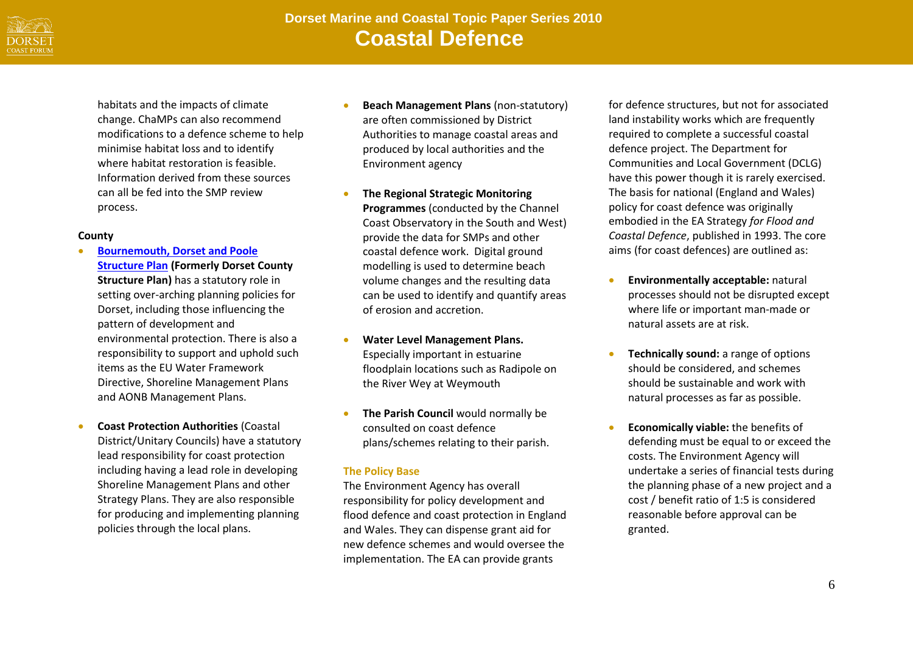

habitats and the impacts of climate change. ChaMPs can also recommend modifications to a defence scheme to help minimise habitat loss and to identify where habitat restoration is feasible. Information derived from these sources can all be fed into the SMP review process.

#### **County**

- **[Bournemouth, Dorset and Poole](http://www.boroughofpoole.com/downloads/assets/Dorset_County_Structure_Plan_2000.pdf)  [Structure Plan](http://www.boroughofpoole.com/downloads/assets/Dorset_County_Structure_Plan_2000.pdf) (Formerly Dorset County Structure Plan)** has a statutory role in setting over-arching planning policies for Dorset, including those influencing the pattern of development and environmental protection. There is also a responsibility to support and uphold such items as the EU Water Framework Directive, Shoreline Management Plans and AONB Management Plans.
- **Coast Protection Authorities** (Coastal District/Unitary Councils) have a statutory lead responsibility for coast protection including having a lead role in developing Shoreline Management Plans and other Strategy Plans. They are also responsible for producing and implementing planning policies through the local plans.
- **Beach Management Plans** (non-statutory) are often commissioned by District Authorities to manage coastal areas and produced by local authorities and the Environment agency
- **The Regional Strategic Monitoring Programmes** (conducted by the Channel Coast Observatory in the South and West) provide the data for SMPs and other coastal defence work. Digital ground modelling is used to determine beach volume changes and the resulting data can be used to identify and quantify areas of erosion and accretion.
- **Water Level Management Plans.** Especially important in estuarine floodplain locations such as Radipole on the River Wey at Weymouth
- **The Parish Council** would normally be consulted on coast defence plans/schemes relating to their parish.

## **The Policy Base**

The Environment Agency has overall responsibility for policy development and flood defence and coast protection in England and Wales. They can dispense grant aid for new defence schemes and would oversee the implementation. The EA can provide grants

for defence structures, but not for associated land instability works which are frequently required to complete a successful coastal defence project. The Department for Communities and Local Government (DCLG) have this power though it is rarely exercised. The basis for national (England and Wales) policy for coast defence was originally embodied in the EA Strategy *for Flood and Coastal Defence*, published in 1993. The core aims (for coast defences) are outlined as:

- **Environmentally acceptable:** natural processes should not be disrupted except where life or important man-made or natural assets are at risk.
- **Technically sound:** a range of options should be considered, and schemes should be sustainable and work with natural processes as far as possible.
- **Economically viable:** the benefits of defending must be equal to or exceed the costs. The Environment Agency will undertake a series of financial tests during the planning phase of a new project and a cost / benefit ratio of 1:5 is considered reasonable before approval can be granted.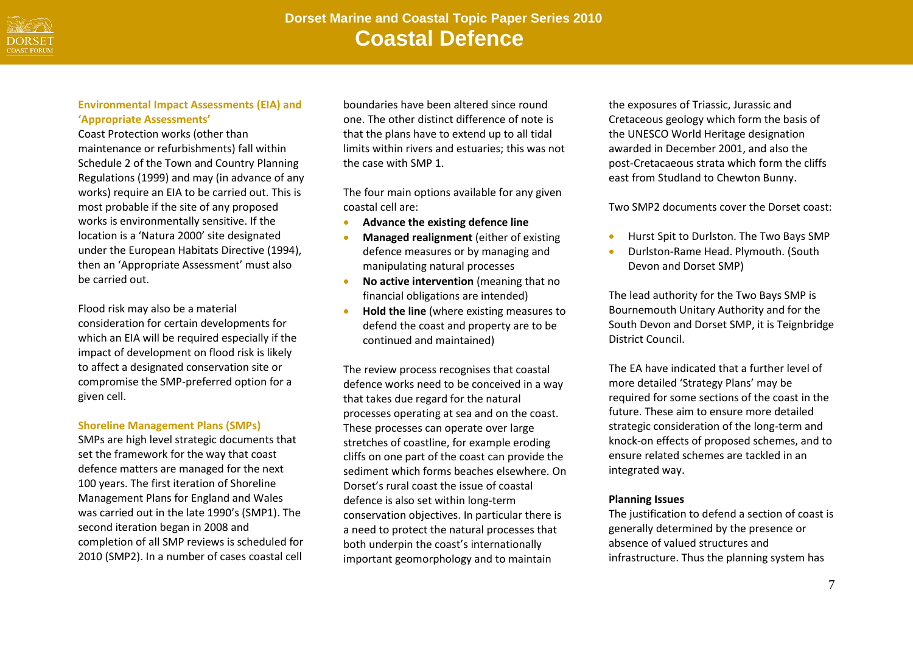

## **Environmental Impact Assessments (EIA) and 'Appropriate Assessments'**

Coast Protection works (other than maintenance or refurbishments) fall within Schedule 2 of the Town and Country Planning Regulations (1999) and may (in advance of any works) require an EIA to be carried out. This is most probable if the site of any proposed works is environmentally sensitive. If the location is a 'Natura 2000' site designated under the European Habitats Directive (1994), then an 'Appropriate Assessment' must also be carried out.

Flood risk may also be a material consideration for certain developments for which an EIA will be required especially if the impact of development on flood risk is likely to affect a designated conservation site or compromise the SMP-preferred option for a given cell.

#### **Shoreline Management Plans (SMPs)**

SMPs are high level strategic documents that set the framework for the way that coast defence matters are managed for the next 100 years. The first iteration of Shoreline Management Plans for England and Wales was carried out in the late 1990's (SMP1). The second iteration began in 2008 and completion of all SMP reviews is scheduled for 2010 (SMP2). In a number of cases coastal cell

boundaries have been altered since round one. The other distinct difference of note is that the plans have to extend up to all tidal limits within rivers and estuaries; this was not the case with SMP 1.

The four main options available for any given coastal cell are:

- **Advance the existing defence line**
- **Managed realignment** (either of existing defence measures or by managing and manipulating natural processes
- **No active intervention** (meaning that no financial obligations are intended)
- **Hold the line** (where existing measures to defend the coast and property are to be continued and maintained)

The review process recognises that coastal defence works need to be conceived in a way that takes due regard for the natural processes operating at sea and on the coast. These processes can operate over large stretches of coastline, for example eroding cliffs on one part of the coast can provide the sediment which forms beaches elsewhere. On Dorset's rural coast the issue of coastal defence is also set within long-term conservation objectives. In particular there is a need to protect the natural processes that both underpin the coast's internationally important geomorphology and to maintain

the exposures of Triassic, Jurassic and Cretaceous geology which form the basis of the UNESCO World Heritage designation awarded in December 2001, and also the post-Cretacaeous strata which form the cliffs east from Studland to Chewton Bunny.

Two SMP2 documents cover the Dorset coast:

- **•** Hurst Spit to Durlston. The Two Bays SMP
- Durlston-Rame Head. Plymouth. (South Devon and Dorset SMP)

The lead authority for the Two Bays SMP is Bournemouth Unitary Authority and for the South Devon and Dorset SMP, it is Teignbridge District Council.

The EA have indicated that a further level of more detailed 'Strategy Plans' may be required for some sections of the coast in the future. These aim to ensure more detailed strategic consideration of the long-term and knock-on effects of proposed schemes, and to ensure related schemes are tackled in an integrated way.

#### **Planning Issues**

The justification to defend a section of coast is generally determined by the presence or absence of valued structures and infrastructure. Thus the planning system has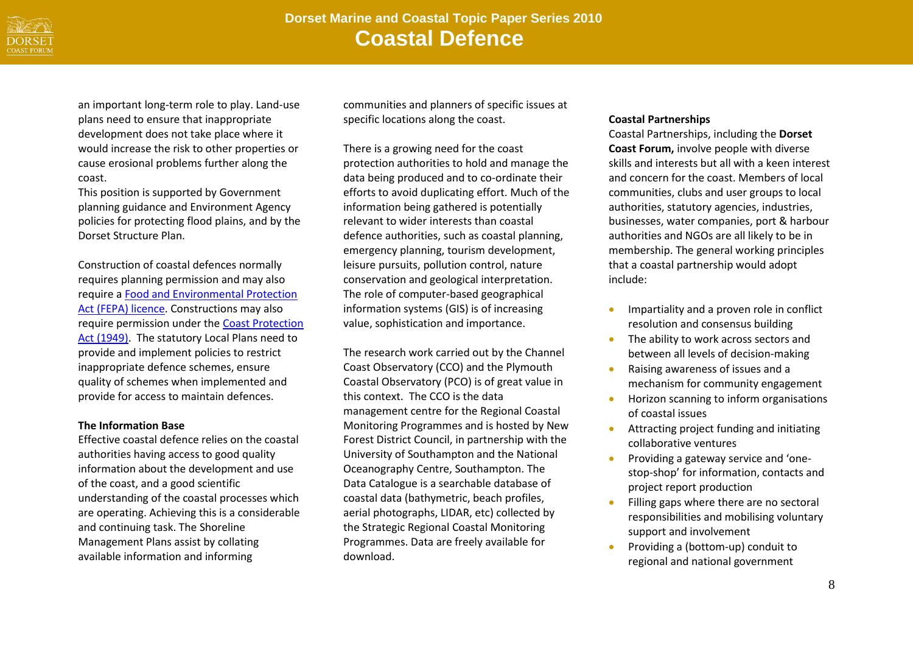

an important long-term role to play. Land-use plans need to ensure that inappropriate development does not take place where it would increase the risk to other properties or cause erosional problems further along the coast.

This position is supported by Government planning guidance and Environment Agency policies for protecting flood plains, and by the Dorset Structure Plan.

Construction of coastal defences normally requires planning permission and may also require a [Food and Environmental Protection](http://www.doeni.gov.uk/niea/water-home/quality/marine/marine-license/fepa-license-guidance.htm)  [Act \(FEPA\) licence.](http://www.doeni.gov.uk/niea/water-home/quality/marine/marine-license/fepa-license-guidance.htm) Constructions may also require permission under the [Coast Protection](http://marinemanagement.org.uk/licensing/index.htm)  [Act \(1949\).](http://marinemanagement.org.uk/licensing/index.htm) The statutory Local Plans need to provide and implement policies to restrict inappropriate defence schemes, ensure quality of schemes when implemented and provide for access to maintain defences.

#### **The Information Base**

Effective coastal defence relies on the coastal authorities having access to good quality information about the development and use of the coast, and a good scientific understanding of the coastal processes which are operating. Achieving this is a considerable and continuing task. The Shoreline Management Plans assist by collating available information and informing

communities and planners of specific issues at specific locations along the coast.

There is a growing need for the coast protection authorities to hold and manage the data being produced and to co-ordinate their efforts to avoid duplicating effort. Much of the information being gathered is potentially relevant to wider interests than coastal defence authorities, such as coastal planning, emergency planning, tourism development, leisure pursuits, pollution control, nature conservation and geological interpretation. The role of computer-based geographical information systems (GIS) is of increasing value, sophistication and importance.

The research work carried out by the Channel Coast Observatory (CCO) and the Plymouth Coastal Observatory (PCO) is of great value in this context. The CCO is the data management centre for the Regional Coastal Monitoring Programmes and is hosted by New Forest District Council, in partnership with the University of Southampton and the National Oceanography Centre, Southampton. The Data Catalogue is a searchable database of coastal data (bathymetric, beach profiles, aerial photographs, LIDAR, etc) collected by the Strategic Regional Coastal Monitoring Programmes. Data are freely available for download.

# **Coastal Partnerships**

Coastal Partnerships, including the **Dorset Coast Forum,** involve people with diverse skills and interests but all with a keen interest and concern for the coast. Members of local communities, clubs and user groups to local authorities, statutory agencies, industries, businesses, water companies, port & harbour authorities and NGOs are all likely to be in membership. The general working principles that a coastal partnership would adopt include:

- **IMPARTIALITY and a proven role in conflict** resolution and consensus building
- The ability to work across sectors and between all levels of decision-making
- Raising awareness of issues and a mechanism for community engagement
- **•** Horizon scanning to inform organisations of coastal issues
- Attracting project funding and initiating collaborative ventures
- **•** Providing a gateway service and 'onestop-shop' for information, contacts and project report production
- **•** Filling gaps where there are no sectoral responsibilities and mobilising voluntary support and involvement
- **•** Providing a (bottom-up) conduit to regional and national government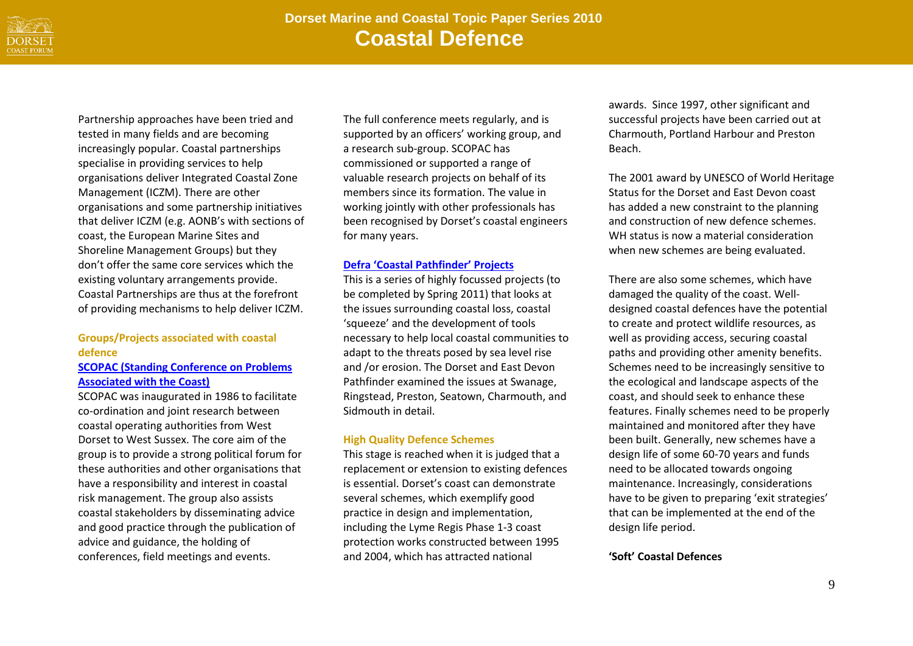

Partnership approaches have been tried and tested in many fields and are becoming increasingly popular. Coastal partnerships specialise in providing services to help organisations deliver Integrated Coastal Zone Management (ICZM). There are other organisations and some partnership initiatives that deliver ICZM (e.g. AONB's with sections of coast, the European Marine Sites and Shoreline Management Groups) but they don't offer the same core services which the existing voluntary arrangements provide. Coastal Partnerships are thus at the forefront of providing mechanisms to help deliver ICZM.

# **Groups/Projects associated with coastal defence**

## **[SCOPAC \(Standing Conference on Problems](http://www.scopac.org.uk/)  [Associated with the Coast\)](http://www.scopac.org.uk/)**

SCOPAC was inaugurated in 1986 to facilitate co-ordination and joint research between coastal operating authorities from West Dorset to West Sussex. The core aim of the group is to provide a strong political forum for these authorities and other organisations that have a responsibility and interest in coastal risk management. The group also assists coastal stakeholders by disseminating advice and good practice through the publication of advice and guidance, the holding of conferences, field meetings and events.

The full conference meets regularly, and is supported by an officers' working group, and a research sub-group. SCOPAC has commissioned or supported a range of valuable research projects on behalf of its members since its formation. The value in working jointly with other professionals has been recognised by Dorset's coastal engineers for many years.

## **Defra '[Coastal Pathfinder](http://www.defra.gov.uk/environment/flooding/coastal-change-pathfinders/)' Projects**

This is a series of highly focussed projects (to be completed by Spring 2011) that looks at the issues surrounding coastal loss, coastal 'squeeze' and the development of tools necessary to help local coastal communities to adapt to the threats posed by sea level rise and /or erosion. The Dorset and East Devon Pathfinder examined the issues at Swanage, Ringstead, Preston, Seatown, Charmouth, and Sidmouth in detail.

# **High Quality Defence Schemes**

This stage is reached when it is judged that a replacement or extension to existing defences is essential. Dorset's coast can demonstrate several schemes, which exemplify good practice in design and implementation, including the Lyme Regis Phase 1-3 coast protection works constructed between 1995 and 2004, which has attracted national

awards. Since 1997, other significant and successful projects have been carried out at Charmouth, Portland Harbour and Preston Beach.

The 2001 award by UNESCO of World Heritage Status for the Dorset and East Devon coast has added a new constraint to the planning and construction of new defence schemes. WH status is now a material consideration when new schemes are being evaluated.

There are also some schemes, which have damaged the quality of the coast. Welldesigned coastal defences have the potential to create and protect wildlife resources, as well as providing access, securing coastal paths and providing other amenity benefits. Schemes need to be increasingly sensitive to the ecological and landscape aspects of the coast, and should seek to enhance these features. Finally schemes need to be properly maintained and monitored after they have been built. Generally, new schemes have a design life of some 60-70 years and funds need to be allocated towards ongoing maintenance. Increasingly, considerations have to be given to preparing 'exit strategies' that can be implemented at the end of the design life period.

# **'Soft' Coastal Defences**